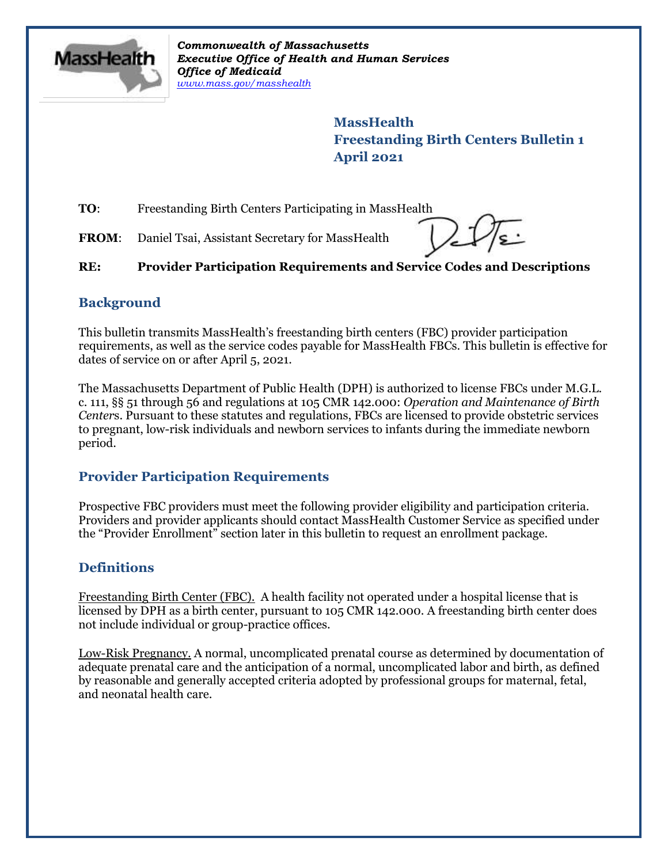

*Commonwealth of Massachusetts Executive Office of Health and Human Services Office of Medicaid [www.mass.gov/masshealth](http://www.mass.gov/masshealth)*

> **MassHealth Freestanding Birth Centers Bulletin 1 April 2021**

**TO:** Freestanding Birth Centers Participating in MassHealth

FROM: Daniel Tsai, Assistant Secretary for MassHealth

**RE: Provider Participation Requirements and Service Codes and Descriptions**

### **Background**

This bulletin transmits MassHealth's freestanding birth centers (FBC) provider participation requirements, as well as the service codes payable for MassHealth FBCs. This bulletin is effective for dates of service on or after April 5, 2021.

The Massachusetts Department of Public Health (DPH) is authorized to license FBCs under M.G.L. c. 111, §§ 51 through 56 and regulations at 105 CMR 142.000: *Operation and Maintenance of Birth Center*s. Pursuant to these statutes and regulations, FBCs are licensed to provide obstetric services to pregnant, low-risk individuals and newborn services to infants during the immediate newborn period.

# **Provider Participation Requirements**

Prospective FBC providers must meet the following provider eligibility and participation criteria. Providers and provider applicants should contact MassHealth Customer Service as specified under the "Provider Enrollment" section later in this bulletin to request an enrollment package.

# **Definitions**

Freestanding Birth Center (FBC). A health facility not operated under a hospital license that is licensed by DPH as a birth center, pursuant to 105 CMR 142.000. A freestanding birth center does not include individual or group-practice offices.

Low-Risk Pregnancy. A normal, uncomplicated prenatal course as determined by documentation of adequate prenatal care and the anticipation of a normal, uncomplicated labor and birth, as defined by reasonable and generally accepted criteria adopted by professional groups for maternal, fetal, and neonatal health care.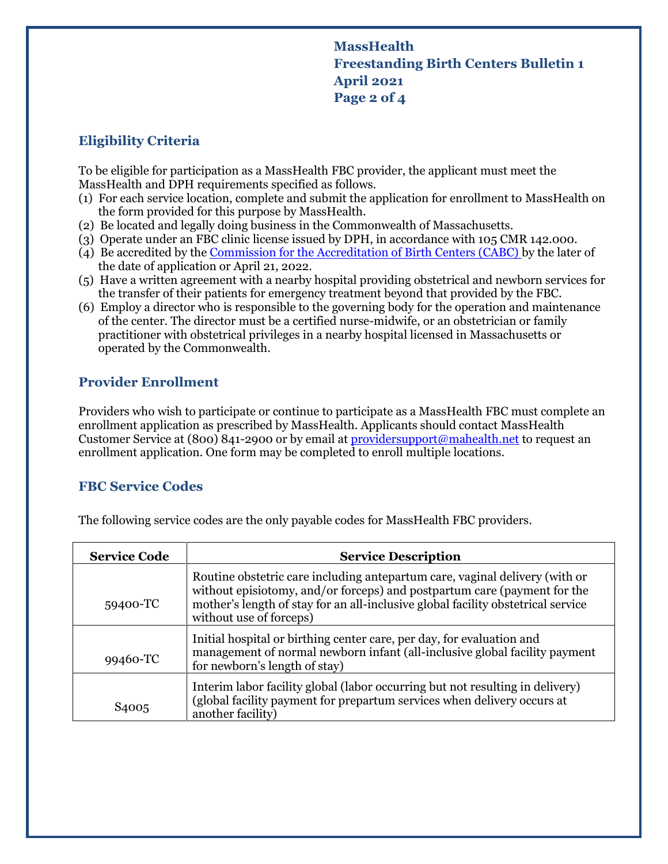# **MassHealth Freestanding Birth Centers Bulletin 1 April 2021 Page 2 of 4**

## **Eligibility Criteria**

To be eligible for participation as a MassHealth FBC provider, the applicant must meet the MassHealth and DPH requirements specified as follows.

- (1) For each service location, complete and submit the application for enrollment to MassHealth on the form provided for this purpose by MassHealth.
- (2) Be located and legally doing business in the Commonwealth of Massachusetts.
- (3) Operate under an FBC clinic license issued by DPH, in accordance with 105 CMR 142.000.
- (4) Be accredited by the [Commission for the Accreditation of Birth Centers \(CABC\)](http://www.birthcenteraccreditation.org/get-accredited/) by the later of the date of application or April 21, 2022.
- (5) Have a written agreement with a nearby hospital providing obstetrical and newborn services for the transfer of their patients for emergency treatment beyond that provided by the FBC.
- (6) Employ a director who is responsible to the governing body for the operation and maintenance of the center. The director must be a certified nurse-midwife, or an obstetrician or family practitioner with obstetrical privileges in a nearby hospital licensed in Massachusetts or operated by the Commonwealth.

## **Provider Enrollment**

Providers who wish to participate or continue to participate as a MassHealth FBC must complete an enrollment application as prescribed by MassHealth. Applicants should contact MassHealth Customer Service at (800) 841-2900 or by email a[t providersupport@mahealth.net](mailto:providersupport@mahealth.net) to request an enrollment application. One form may be completed to enroll multiple locations.

## **FBC Service Codes**

| <b>Service Code</b> | <b>Service Description</b>                                                                                                                                                                                                                                             |
|---------------------|------------------------------------------------------------------------------------------------------------------------------------------------------------------------------------------------------------------------------------------------------------------------|
| 59400-TC            | Routine obstetric care including antepartum care, vaginal delivery (with or<br>without episiotomy, and/or forceps) and postpartum care (payment for the<br>mother's length of stay for an all-inclusive global facility obstetrical service<br>without use of forceps) |
| 99460-TC            | Initial hospital or birthing center care, per day, for evaluation and<br>management of normal newborn infant (all-inclusive global facility payment<br>for newborn's length of stay)                                                                                   |
| S4005               | Interim labor facility global (labor occurring but not resulting in delivery)<br>(global facility payment for prepartum services when delivery occurs at<br>another facility)                                                                                          |

The following service codes are the only payable codes for MassHealth FBC providers.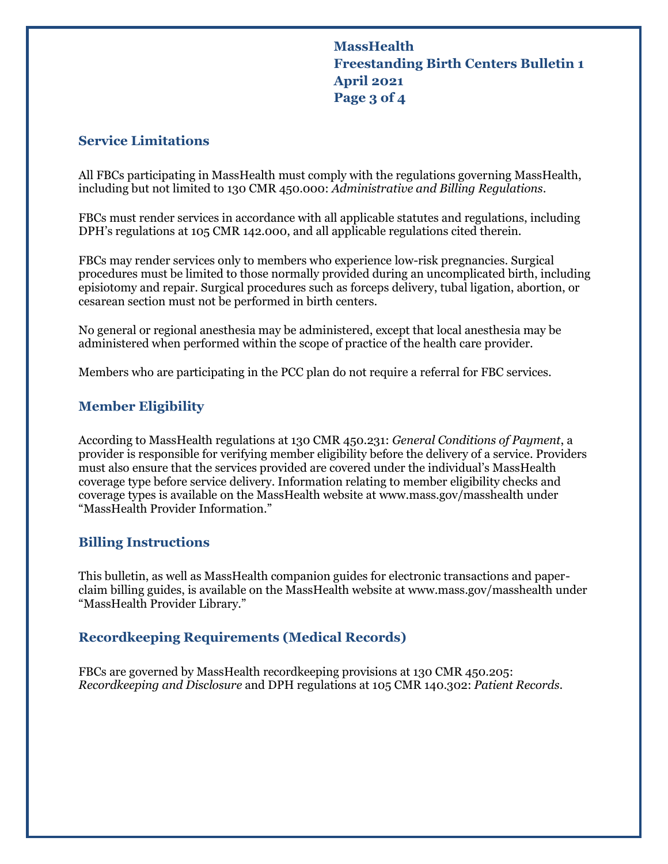**MassHealth Freestanding Birth Centers Bulletin 1 April 2021 Page 3 of 4**

#### **Service Limitations**

All FBCs participating in MassHealth must comply with the regulations governing MassHealth, including but not limited to 130 CMR 450.000: *Administrative and Billing Regulations*.

FBCs must render services in accordance with all applicable statutes and regulations, including DPH's regulations at 105 CMR 142.000, and all applicable regulations cited therein.

FBCs may render services only to members who experience low-risk pregnancies. Surgical procedures must be limited to those normally provided during an uncomplicated birth, including episiotomy and repair. Surgical procedures such as forceps delivery, tubal ligation, abortion, or cesarean section must not be performed in birth centers.

No general or regional anesthesia may be administered, except that local anesthesia may be administered when performed within the scope of practice of the health care provider.

Members who are participating in the PCC plan do not require a referral for FBC services.

#### **Member Eligibility**

According to MassHealth regulations at 130 CMR 450.231: *General Conditions of Payment*, a provider is responsible for verifying member eligibility before the delivery of a service. Providers must also ensure that the services provided are covered under the individual's MassHealth coverage type before service delivery. Information relating to member eligibility checks and coverage types is available on the MassHealth website at [www.mass.gov/masshealth](http://www.mass.gov/masshealth) under "MassHealth Provider Information."

#### **Billing Instructions**

This bulletin, as well as MassHealth companion guides for electronic transactions and paperclaim billing guides, is available on the MassHealth website at [www.mass.gov/masshealth](http://www.mass.gov/masshealth) under "MassHealth Provider Library."

#### **Recordkeeping Requirements (Medical Records)**

FBCs are governed by MassHealth recordkeeping provisions at 130 CMR 450.205: *Recordkeeping and Disclosure* and DPH regulations at 105 CMR 140.302: *Patient Records*.